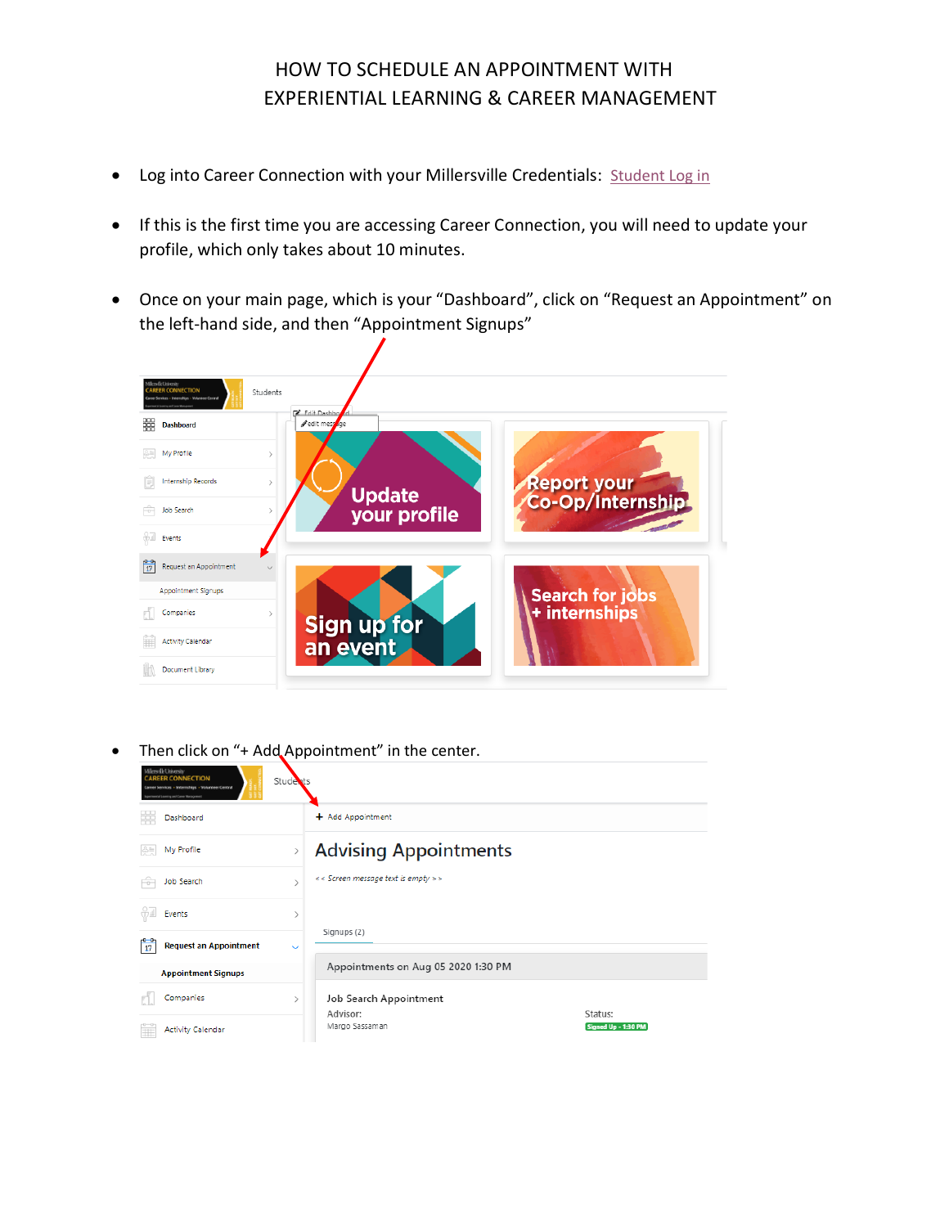## HOW TO SCHEDULE AN APPOINTMENT WITH EXPERIENTIAL LEARNING & CAREER MANAGEMENT

- Log into Career Connection with your Millersville Credentials: [Student Log in](https://candidate.gradleaders.com/Millersville/Candidates/Login.aspx?pid=4309)
- If this is the first time you are accessing Career Connection, you will need to update your profile, which only takes about 10 minutes.
- Once on your main page, which is your "Dashboard", click on "Request an Appointment" on the left-hand side, and then "Appointment Signups"



Then click on "+ Add Appointment" in the center.